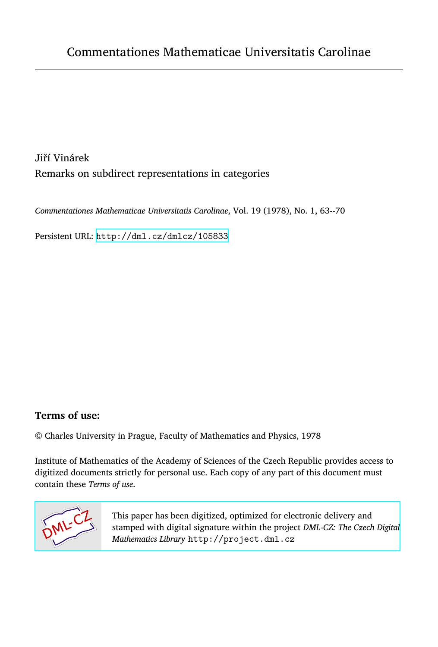Jiří Vinárek Remarks on subdirect representations in categories

*Commentationes Mathematicae Universitatis Carolinae*, Vol. 19 (1978), No. 1, 63--70

Persistent URL: <http://dml.cz/dmlcz/105833>

# **Terms of use:**

© Charles University in Prague, Faculty of Mathematics and Physics, 1978

Institute of Mathematics of the Academy of Sciences of the Czech Republic provides access to digitized documents strictly for personal use. Each copy of any part of this document must contain these *Terms of use*.



[This paper has been digitized, optimized for electronic delivery and](http://project.dml.cz) stamped with digital signature within the project *DML-CZ: The Czech Digital Mathematics Library* http://project.dml.cz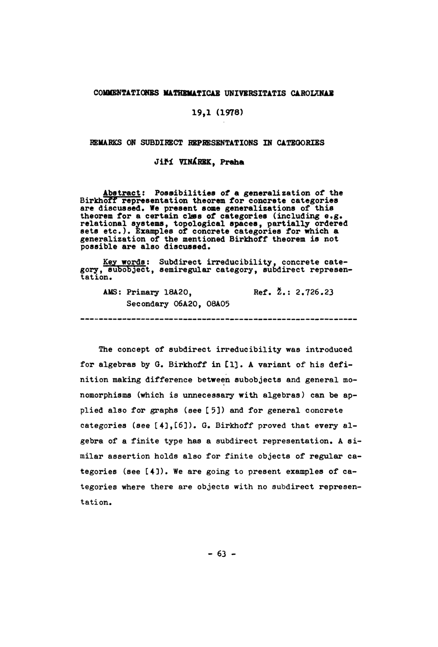#### COMMENTATIONBS MATHBMATICAE UNIVERSITATIS CAROLTNAB

## 19,1 (1978)

#### REMARKS ON SUBDIRECT REPRESENTATIONS IN CATEGORIES

### Jifi VINXRBK, Praha

Abstract: Possibilities of a generalization of the Birkhoff representation theorem for concrete categories are discussed. We present some generalizations of this<br>theorem for a certain class of categories (including e.g.<br>relational systems, topological spaces, partially ordered<br>sets etc.). Examples of concrete categories for whi generalization of the mentioned Birkhoff theorem is not possible are also discussed.

Key words: Subdirect irreducibility, concrete cate-<br>gory, subobject, semiregular category, subdirect represen-<br>tation.

------------------------------

AMS: Primary 18A20, Ref. 2.: 2.726.23 Secondary 06A20, 08A05

The concept of subdirect irreducibility was introduced for algebras by G. Birkhoff in [1]. A variant of his definition making difference between subobjeets and general monomorphisms (which is unnecessary with algebras*)* can be applied also for graphs (see  $[5]$ ) and for general concrete categories (see [4], [6]). G. Birkhoff proved that every algebra of a finite type has a subdirect representation. A similar assertion holds also for finite objects of regular categories (see [4]). We are going to present examples of categories where there are objects with no subdirect representation.

 $-63 -$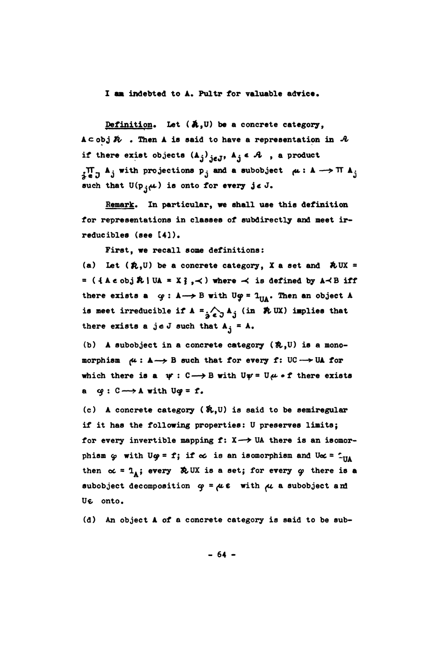## I am indebted to A. Pultr for valuable advice.

Definition. Let  $(A, U)$  be a concrete category,  $A \subset obj \nmid \tilde{R}$  . Then A is said to have a representation in  $A$ if there exist objects  $(A_j)_{j \in J}$ ,  $A_j \in \mathcal{A}$ , a product  $\prod_{i=1}^n A_i$  with projections  $p_i$  and a subobject  $\mu: A \longrightarrow \Pi A_i$ such that  $U(p_{j}\mu)$  is onto for every je J.

Remark. In particular, we shall use this definition for representations in classes of subdirectly and meet irreducibles (see [4]).

First, we recall some definitions:

(a) Let  $(\hat{\mathcal{R}}, \mathbf{U})$  be a concrete category, X a set and  $\hat{\mathcal{R}}$  UX = =  $(4 \land \epsilon \circ b \land \mathcal{R} \mid \text{UA} = X\}$ , < ) where < is defined by  $A \triangleleft B$  iff there exists a  $\varphi: A \rightarrow B$  with U $\varphi = 1_{\Pi A}$ . Then an object A is meet irreducible if  $A = \bigwedge_{A \in \mathcal{A}} A_{A}$  (in  $\Re$  UX) implies that there exists a je J such that  $A_i = A_i$ .

(b) A subobject in a concrete category (祝, U) is a monomorphism  $\mu: A \rightarrow B$  such that for every f: UC  $\rightarrow$  UA for which there is a  $\psi: C \longrightarrow B$  with  $U\psi = U\mu \circ f$  there exists a  $q: C \longrightarrow A$  with  $Uq = f$ .

(c) A concrete category  $(\hat{\mathbf{X}}, \mathbf{U})$  is said to be semiregular if it has the following properties: U preserves limits; for every invertible mapping  $f: X \rightarrow \mathbb{U}$  there is an isomorphism  $\varphi$  with U $\varphi = f$ ; if  $\infty$  is an isomorphism and U $\infty = 1$ <sub>UA</sub> then  $\alpha = 1_A$ ; every  $\partial$ UX is a set; for every  $\varphi$  there is a subobject decomposition  $\varphi = \mu \varepsilon$  with  $\mu$  a subobject and UE onto.

(d) An object A of a concrete category is said to be sub-

 $-64 -$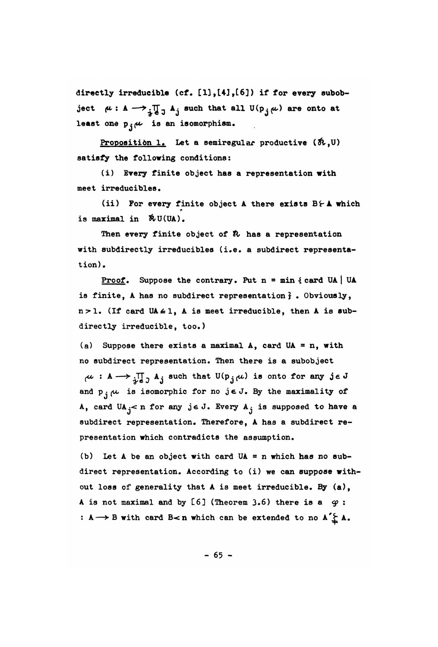directly irreducible  $(cf. [1], [4], [6])$  if for every subobject  $\mu: A \longrightarrow \prod_{j=1}^n A_j$  such that all  $U(p_j,\mu)$  are onto at least one  $\mathfrak{p}_{\mathbf{j}}$  $\mu$  is an isomorphism.

Proposition 1. Let a semiregular productive  $(\hbar, 0)$ satisfy the following conditions;

(i) Every finite object has a representation with meet irreducibles.

(ii) For every finite object *k* there exists Bf-A which is maximal in &U(UA).

Then every finite object of  $\hbar$  has a representation with subdirectly irreducibles (i.e. a subdirect representation).

**Proof.** Suppose the contrary. Put  $n = min \{ card UA \mid UA$ is finite, A has no subdirect representation} . Obviously,  $n > 1$ . (If card UA  $\leq 1$ , A is meet irreducible, then A is subdirectly irreducible, too.)

(a) Suppose there exists a maximal  $A$ , card UA = n, with no subdirect representation. *Then* there is a subobject  $\mu : A \longrightarrow \prod_{i=1}^{\infty} A_i$  such that  $U(p_i,\mu)$  is onto for any je J and  $p_i$ <sub>i</sub> $\mu$  is isomorphic for no jeJ. By the maximality of A, card  $UA_j < n$  for any je J. Every  $A_j$  is supposed to have a subdirect representation. Therefore, A has a subdirect representation which contradicts the assumption.

(b) Let A be an object with card UA = n which has no subdirect representation. According to (i) we can suppose without loss of generality that  $A$  is meet irreducible. By  $(a)$ , A is not maximal and by [6] (Theorem 3.6) there is a  $q$  : : A → B with card B<n which can be extended to no A<sup>'</sup> $\sum A$ .

 $- 65 -$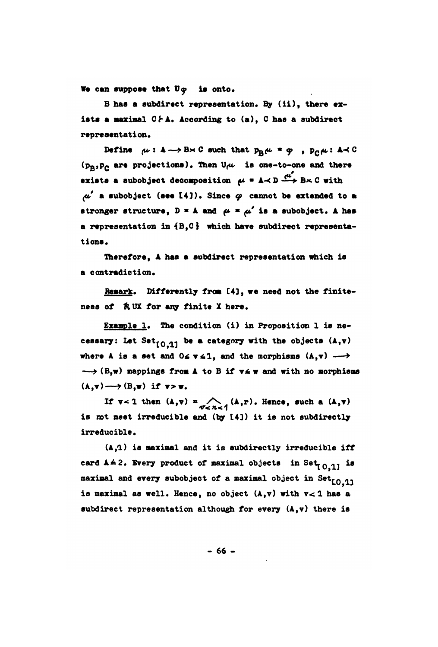We can suppose that  $U\varphi$  is onto.

B has a subdirect representation. By (ii), there exists a maximal CFA. According to (a), C has a subdirect **represent ati on.** 

**Define**  $\mu: \mathbf{A} \rightarrow \mathbf{B} \times \mathbf{C}$  such that  $p_{\mathbf{B}}\mu = \varphi$ ,  $p_{\mathbf{C}}\mu: \mathbf{A} \prec \mathbf{C}$ **(Pg»Pc are projections). Then U ^ is one-to-one and there exists a subobject decomposition**  $\mu = \mathbf{A} \prec \mathbf{D} \xrightarrow{\mu'} \mathbf{B} \times \mathbf{C}$  **with ^ # a subobject** (**see 14]). Sines 9 cannot be extended to at**  stronger structure,  $D = A$  and  $\mu = \mu'$  is a subobject. A has **a representation in 4B,C} which have aubdirect representations.** 

**Therefore, A has a subdirect representation which is a contradiction.** 

Remark. Differently from [4], we need not the finiteness of **AUX** for any finite X here.

**Example 1. The condition (i) in Proposition 1 is ne**cessary: Let Set<sub>[0.1]</sub> be a category with the objects  $(A,\mathbf{v})$ where A is a set and  $0 \le x \le 1$ , and the morphisms  $(A, v) \longrightarrow$  $\rightarrow$  (B,w) mappings from A to B if  $v \le w$  and with no morphisms  $(A,\mathbf{v}) \longrightarrow (B,\mathbf{w})$  if  $\mathbf{v} > \mathbf{w}$ .

If  $\mathbf{v} < 1$  then  $(\mathbf{A}, \mathbf{v}) = \bigwedge_{\mathbf{v} < \mathbf{n} < 1} (\mathbf{A}, \mathbf{r})$ . Hence, such a  $(\mathbf{A}, \mathbf{v})$ is not meet irreducible and (by [4]) it is not subdirectly irreducible.

**(A,l) is maximal and it is aubdirectly irreducible iff**  card  $A \leq 2$ . Every product of maximal objects in Set<sub>r0.11</sub> is maximal and every subobject of a maximal object in Set<sub>LO.11</sub> **is maximal as well. Hence, no object (A,v) with v< l has a su**b**direct representation although for every (Afv) there is** 

**66 -**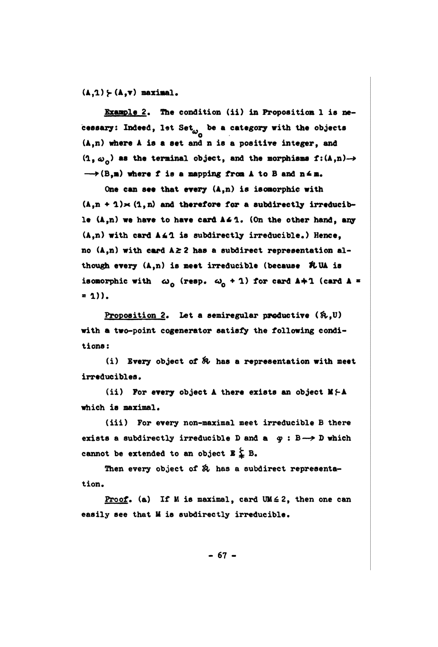$(L,1) \succ (A,v)$  maximal.

Example 2. The condition (ii) in Proposition 1 is necessary: Indeed, let Set<sub> $\omega_{-}$ </sub> be a category with the objects **(A,n) where A ia a aet and n is a positive integer, and**   $(1, \omega)$  as the terminal object, and the morphisms  $f:(A,n) \rightarrow$  $\rightarrow$  (B,m) where f is a mapping from A to B and  $n \leq m$ .

**One can see that every (A,n) ia isomor**p**hic with**   $(A, n + 1) \times (1, n)$  and therefore for a subdirectly irreducible  $(A, n)$  we have to have card  $A \le 1$ . (On the other hand, any **(A,n) with card A41 ia subdirectly irreducible\*) Hence, no (A,n) with card A^ 2 has a subdirect representation although every (A,n) is meet irreducible (because &UA is isomorphic with**  $\omega_{\alpha}$  **(resp.**  $\omega_{\alpha}$  **+ 1) for card**  $\Delta + 1$  **(card**  $\Delta =$  $= 1)$ ).

Proposition 2. Let a semiregular productive  $(\hat{n},\mathbb{U})$ **with a two-point cogenerator satisfy the following conditions** *%* 

**(i) Every object of** *fc>* **has a re**p**resentation with meet irredueibles.** 

(ii) For every object A there exists an object M/-A which is maximal.

**(iii) For every non-maximal meet irreducible B there**  exists a subdirectly irreducible D and  $a \ q : B \longrightarrow D$  which cannot be extended to an object  $E \nleq B$ .

**Then every object of & has a subdirect representa**tion.

Proof. (a) If M is maximal, card UM  $\leq$  2, then one can easily see that **M** is subdirectly irreducible.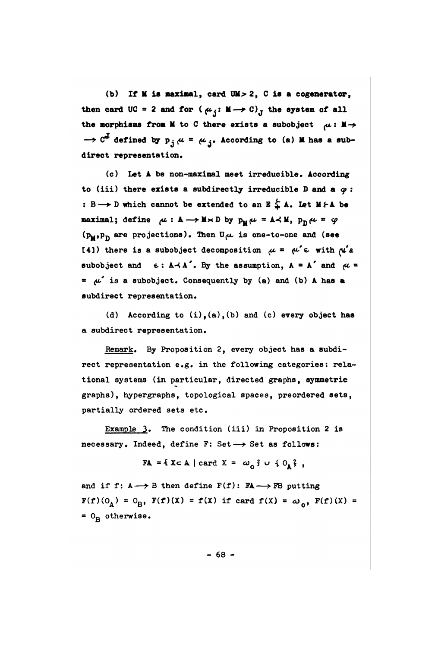(b) If M ia *maximal9* card UM>2 , C is a c**o**generator, then card UC = 2 and for  $(\mu_i: M \rightarrow C)_{\tau}$  the system of all the morphisms from M to C there exists a subobject  $\mu : M \rightarrow$  $\rightarrow$   $C^*$  defined by  $p_j \mu = \mu_j$ . According to (a) **M** has a subdirect representation.

(c) Let 4 be non-maximal meet irreducible. Acc**o**rding to (iii) there exists a subdirectly irreducible D and a  $\varphi$ : : B o D which cannot be extended to an  $E \nleq A$ . Let  $M \nvdash A$  be maximal; define  $\mu : \mathbb{A} \longrightarrow \mathbb{M} \times \mathbb{D}$  by  $p_{\mathbb{M}} \mu = \mathbb{A} \prec \mathbb{M}$ ,  $p_{\mathbb{D}} \mu = \varphi$ **(P<sub>M</sub>, P<sub>D</sub>** are projections). Then U<sub>ft</sub> is one-to-one and (see (41) there is a subobject decomposition  $\mu = \mu' \epsilon$  with  $\mu' a$ subobject and  $e: A \rightarrow A'$ . By the assumption,  $A = A'$  and  $\mu =$  $*$   $\mu'$  is a subobject. Consequently by (a) and (b) A has a subdirect representati**o**n.

(d) Acc**o**rding to (i),(a),(b) and (c) every object has a subdirect representati**o**n.

Remark. By Pr**o**p**o**siti**o**n 2, every **o**bject has a subdirect representati**o**n e.g. in the f**o**ll**o**wing categories: relational systems (in particular, directed graphs, symmetric graphs), hypergraphs, t**o**p**o**l**o**gical spaces, pre**o**rdered sets, partially **o**rdered sets etc.

Example 3. The condition (iii) in Proposition 2 is necessary. Indeed, define F: Set  $\longrightarrow$  Set as follows:

 $FA = \{ X \subset A \mid \text{card } X = \omega_0 \} \cup \{ 0_A \},$ 

and if f:  $A \rightarrow B$  then define  $F(f)$ :  $FA \rightarrow FB$  putting  $F(f)(0_A) = 0_B$ ,  $F(f)(X) = f(X)$  if card  $f(X) = \omega_0$ ,  $F(f)(X) =$ = O<sub>R</sub> otherwise.

- 68 -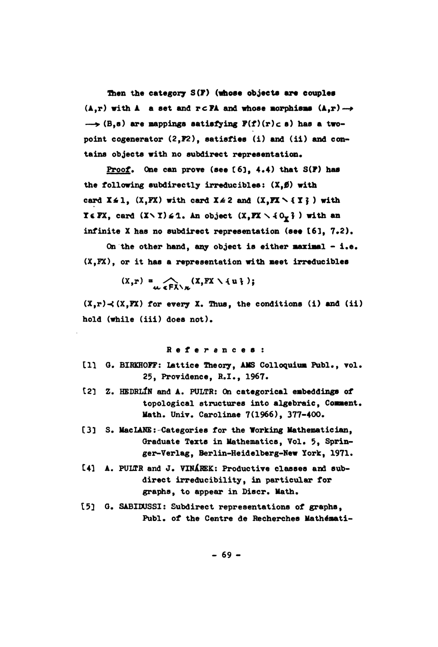**Then the category S(f) (whose objects ara couples**   $(A, r)$  with  $A$  a set and  $r \in \mathbb{P}A$  and whose norphisms  $(A, r) \rightarrow$  $\rightarrow$  (B.s) are mappings satisfying  $F(f)(r) \subset s$ ) has a twopoint cogenerator  $(2, P2)$ , satisfies (i) and (ii) and con**tains objects with no subdirect re**p**resentation.** 

P**roof. Que earn prove** (**see £6lf** 4**.4) that 3(F) has the following subdirectly irreducibless (Xf0) with**  card  $X \le 1$ *,* (X,FX) with card  $X \le 2$  and (X,FX \{Y}) with **HEFX, card**  $(X \setminus Y) \leq 1$ **. An object**  $(X, FX \setminus \{0_\gamma\})$  **with an infinite I has no subdirect re**p**resentation** (**see** 1**6**1**, 7.2).** 

**On t**h**e other** h**an**d**, any object ia either maximal -i.e. (X,FX**)**, or it has a representation with meet irreducibles** 

 $(X, r) = \bigwedge_{u \in \mathbb{R}^n \setminus u} (X, FX \setminus \{u\})$ ;

 $(X, r) \prec (X, FX)$  for every X. Thus, the conditions (i) and (ii) **hold (while (iii) doea not).** 

**Reference s :** 

- [1] G. BIRKHOFF: Lattice Theory, AMS Colloquium Publ., vol. 25, Providence, R.I., 1967.
- **121 Z. HEDRLiN and A. P**U**LTR: On eategorieai embe**dd**ings of topological structures into algebraic. Comment• Math. Univ. Carolinae 7(1966), 377-400.**
- **C**3**] S. MacLANE: Categories for the Working Mat**h**ematician, Graduate Texts in Mathematics, Vol. 5, Springer-ferlag, Berlin-Heidelberg-Hew fork, 1971.**
- [4] A. PULTR and J. VINAREK: Productive classes and sub**direct irredueibility, in particular for graphsf to appear in Discr. Math.**
- **15] 0\* SA**B**IDUSS**I**: Subdirect representations of gra**p**hs,**  Publ. of the Centre de Recherches Mathémati-